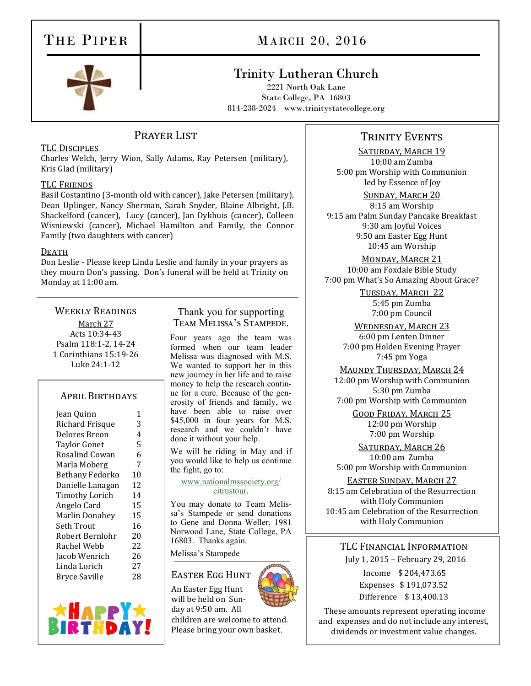# THE PIPER

# MARCH 20, 2016



## Trinity Lutheran Church

2221 North Oak Lane State College, PA 16803 814-238-2024 www.trinitystatecollege.org

## PRAYER LIST

#### TLC Disciples

Charles Welch, Jerry Wion, Sally Adams, Ray Petersen (military), Kris Glad (military)

#### TLC Friends

Basil Costantino (3-month old with cancer), Jake Petersen (military), Dean Uplinger, Nancy Sherman, Sarah Snyder, Blaine Albright, J.B. Shackelford (cancer), Lucy (cancer), Jan Dykhuis (cancer), Colleen Wisniewski (cancer), Michael Hamilton and Family, the Connor Family (two daughters with cancer)

#### DEATH

Don Leslie - Please keep Linda Leslie and family in your prayers as they mourn Don's passing. Don's funeral will be held at Trinity on Monday at 11:00 am.

#### Weekly Readings

March 27 Acts 10:34-43 Psalm 118:1-2, 14-24 1 Corinthians 15:19-26 Luke 24:1-12

#### April Birthdays

| Jean Quinn             | 1  |
|------------------------|----|
| Richard Frisque        | 3  |
| Delores Breon          | 4  |
| <b>Taylor Gonet</b>    | 5  |
| Rosalind Cowan         | 6  |
| Marla Moberg           | 7  |
| <b>Bethany Fedorko</b> | 10 |
| Danielle Lanagan       | 12 |
| Timothy Lorich         | 14 |
| Angelo Card            | 15 |
| <b>Marlin Donahey</b>  | 15 |
| Seth Trout             | 16 |
| Robert Bernlohr        | 20 |
| Rachel Webb            | 22 |
| Jacob Wenrich          | 26 |
| Linda Lorich           | 27 |
| <b>Bryce Saville</b>   | 28 |
|                        |    |



#### Thank you for supporting Team Melissa's Stampede.

Four years ago the team was formed when our team leader Melissa was diagnosed with M.S. We wanted to support her in this new journey in her life and to raise money to help the research continue for a cure. Because of the generosity of friends and family, we have been able to raise over \$45,000 in four years for M.S. research and we couldn't have done it without your help.

We will be riding in May and if you would like to help us continue the fight, go to:

[www.nationalmssociety.org/](http://www.nationalmssociety.org/citrustour) [citrustour.](http://www.nationalmssociety.org/citrustour) 

You may donate to Team Melissa's Stampede or send donations to Gene and Donna Weller, 1981 Norwood Lane, State College, PA 16803. Thanks again.

Melissa's Stampede

#### Easter Egg Hunt

An Easter Egg Hunt will be held on Sunday at 9:50 am. All children are welcome to attend. Please bring your own basket.

### TRINITY EVENTS

SATURDAY, MARCH 19 10:00 am Zumba 5:00 pm Worship with Communion led by Essence of Joy

#### Sunday, March 20

8:15 am Worship 9:15 am Palm Sunday Pancake Breakfast 9:30 am Joyful Voices 9:50 am Easter Egg Hunt 10:45 am Worship

MONDAY, MARCH 21 10:00 am Foxdale Bible Study 7:00 pm What's So Amazing About Grace?

> Tuesday, March 22 5:45 pm Zumba 7:00 pm Council

WEDNESDAY, MARCH 23 6:00 pm Lenten Dinner 7:00 pm Holden Evening Prayer 7:45 pm Yoga

MAUNDY THURSDAY, MARCH 24 12:00 pm Worship with Communion 5:30 pm Zumba

7:00 pm Worship with Communion

Good Friday, March 25 12:00 pm Worship 7:00 pm Worship

SATURDAY, MARCH 26 10:00 am Zumba 5:00 pm Worship with Communion

Easter Sunday, March 27 8:15 am Celebration of the Resurrection with Holy Communion 10:45 am Celebration of the Resurrection with Holy Communion

TLC Financial Information July 1, 2015 – February 29, 2016

> Income \$ 204,473.65 Expenses \$ 191,073.52 Difference \$ 13,400.13

These amounts represent operating income and expenses and do not include any interest, dividends or investment value changes.